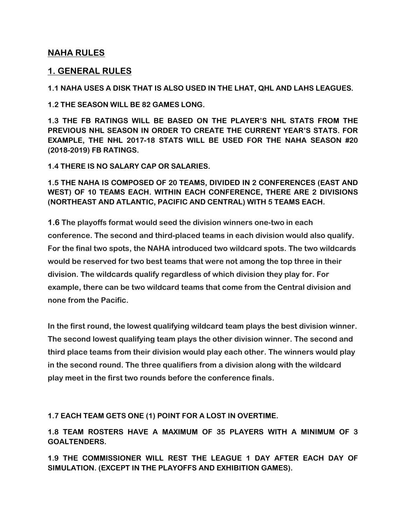## **NAHA RULES**

## **1. GENERAL RULES**

**1.1 NAHA USES A DISK THAT IS ALSO USED IN THE LHAT, QHL AND LAHS LEAGUES.** 

**1.2 THE SEASON WILL BE 82 GAMES LONG.** 

**1.3 THE FB RATINGS WILL BE BASED ON THE PLAYER'S NHL STATS FROM THE PREVIOUS NHL SEASON IN ORDER TO CREATE THE CURRENT YEAR'S STATS. FOR EXAMPLE, THE NHL 2017-18 STATS WILL BE USED FOR THE NAHA SEASON #20 (2018-2019) FB RATINGS.** 

**1.4 THERE IS NO SALARY CAP OR SALARIES.** 

**1.5 THE NAHA IS COMPOSED OF 20 TEAMS, DIVIDED IN 2 CONFERENCES (EAST AND WEST) OF 10 TEAMS EACH. WITHIN EACH CONFERENCE, THERE ARE 2 DIVISIONS (NORTHEAST AND ATLANTIC, PACIFIC AND CENTRAL) WITH 5 TEAMS EACH.** 

**1.6 The playoffs format would seed the division winners one-two in each conference. The second and third-placed teams in each division would also qualify. For the final two spots, the NAHA introduced two wildcard spots. The two wildcards would be reserved for two best teams that were not among the top three in their division. The wildcards qualify regardless of which division they play for. For example, there can be two wildcard teams that come from the Central division and none from the Pacific.** 

**In the first round, the lowest qualifying wildcard team plays the best division winner. The second lowest qualifying team plays the other division winner. The second and third place teams from their division would play each other. The winners would play in the second round. The three qualifiers from a division along with the wildcard play meet in the first two rounds before the conference finals.** 

**1.7 EACH TEAM GETS ONE (1) POINT FOR A LOST IN OVERTIME.** 

**1.8 TEAM ROSTERS HAVE A MAXIMUM OF 35 PLAYERS WITH A MINIMUM OF 3 GOALTENDERS.** 

**1.9 THE COMMISSIONER WILL REST THE LEAGUE 1 DAY AFTER EACH DAY OF SIMULATION. (EXCEPT IN THE PLAYOFFS AND EXHIBITION GAMES).**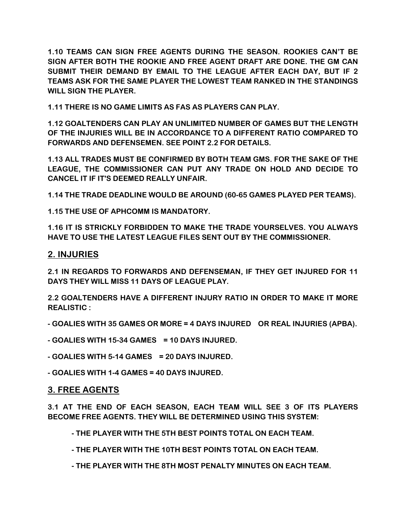**1.10 TEAMS CAN SIGN FREE AGENTS DURING THE SEASON. ROOKIES CAN'T BE SIGN AFTER BOTH THE ROOKIE AND FREE AGENT DRAFT ARE DONE. THE GM CAN SUBMIT THEIR DEMAND BY EMAIL TO THE LEAGUE AFTER EACH DAY, BUT IF 2 TEAMS ASK FOR THE SAME PLAYER THE LOWEST TEAM RANKED IN THE STANDINGS WILL SIGN THE PLAYER.** 

**1.11 THERE IS NO GAME LIMITS AS FAS AS PLAYERS CAN PLAY.** 

**1.12 GOALTENDERS CAN PLAY AN UNLIMITED NUMBER OF GAMES BUT THE LENGTH OF THE INJURIES WILL BE IN ACCORDANCE TO A DIFFERENT RATIO COMPARED TO FORWARDS AND DEFENSEMEN. SEE POINT 2.2 FOR DETAILS.** 

**1.13 ALL TRADES MUST BE CONFIRMED BY BOTH TEAM GMS. FOR THE SAKE OF THE LEAGUE, THE COMMISSIONER CAN PUT ANY TRADE ON HOLD AND DECIDE TO CANCEL IT IF IT'S DEEMED REALLY UNFAIR.** 

**1.14 THE TRADE DEADLINE WOULD BE AROUND (60-65 GAMES PLAYED PER TEAMS).** 

**1.15 THE USE OF APHCOMM IS MANDATORY.** 

**1.16 IT IS STRICKLY FORBIDDEN TO MAKE THE TRADE YOURSELVES. YOU ALWAYS HAVE TO USE THE LATEST LEAGUE FILES SENT OUT BY THE COMMISSIONER.** 

### **2. INJURIES**

**2.1 IN REGARDS TO FORWARDS AND DEFENSEMAN, IF THEY GET INJURED FOR 11 DAYS THEY WILL MISS 11 DAYS OF LEAGUE PLAY.** 

**2.2 GOALTENDERS HAVE A DIFFERENT INJURY RATIO IN ORDER TO MAKE IT MORE REALISTIC :** 

**- GOALIES WITH 35 GAMES OR MORE = 4 DAYS INJURED OR REAL INJURIES (APBA).** 

**- GOALIES WITH 15-34 GAMES = 10 DAYS INJURED.** 

**- GOALIES WITH 5-14 GAMES = 20 DAYS INJURED.** 

**- GOALIES WITH 1-4 GAMES = 40 DAYS INJURED.**

#### **3. FREE AGENTS**

**3.1 AT THE END OF EACH SEASON, EACH TEAM WILL SEE 3 OF ITS PLAYERS BECOME FREE AGENTS. THEY WILL BE DETERMINED USING THIS SYSTEM:** 

**- THE PLAYER WITH THE 5TH BEST POINTS TOTAL ON EACH TEAM.** 

**- THE PLAYER WITH THE 10TH BEST POINTS TOTAL ON EACH TEAM.** 

**- THE PLAYER WITH THE 8TH MOST PENALTY MINUTES ON EACH TEAM.**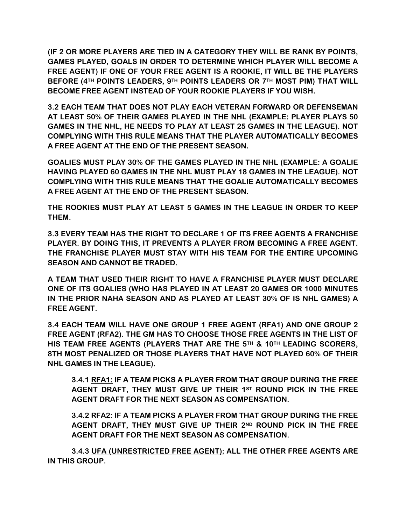**(IF 2 OR MORE PLAYERS ARE TIED IN A CATEGORY THEY WILL BE RANK BY POINTS, GAMES PLAYED, GOALS IN ORDER TO DETERMINE WHICH PLAYER WILL BECOME A FREE AGENT) IF ONE OF YOUR FREE AGENT IS A ROOKIE, IT WILL BE THE PLAYERS BEFORE (4TH POINTS LEADERS, 9TH POINTS LEADERS OR 7TH MOST PIM) THAT WILL BECOME FREE AGENT INSTEAD OF YOUR ROOKIE PLAYERS IF YOU WISH.** 

**3.2 EACH TEAM THAT DOES NOT PLAY EACH VETERAN FORWARD OR DEFENSEMAN AT LEAST 50% OF THEIR GAMES PLAYED IN THE NHL (EXAMPLE: PLAYER PLAYS 50 GAMES IN THE NHL, HE NEEDS TO PLAY AT LEAST 25 GAMES IN THE LEAGUE). NOT COMPLYING WITH THIS RULE MEANS THAT THE PLAYER AUTOMATICALLY BECOMES A FREE AGENT AT THE END OF THE PRESENT SEASON.** 

**GOALIES MUST PLAY 30% OF THE GAMES PLAYED IN THE NHL (EXAMPLE: A GOALIE HAVING PLAYED 60 GAMES IN THE NHL MUST PLAY 18 GAMES IN THE LEAGUE). NOT COMPLYING WITH THIS RULE MEANS THAT THE GOALIE AUTOMATICALLY BECOMES A FREE AGENT AT THE END OF THE PRESENT SEASON.** 

**THE ROOKIES MUST PLAY AT LEAST 5 GAMES IN THE LEAGUE IN ORDER TO KEEP THEM.** 

**3.3 EVERY TEAM HAS THE RIGHT TO DECLARE 1 OF ITS FREE AGENTS A FRANCHISE PLAYER. BY DOING THIS, IT PREVENTS A PLAYER FROM BECOMING A FREE AGENT. THE FRANCHISE PLAYER MUST STAY WITH HIS TEAM FOR THE ENTIRE UPCOMING SEASON AND CANNOT BE TRADED.** 

**A TEAM THAT USED THEIR RIGHT TO HAVE A FRANCHISE PLAYER MUST DECLARE ONE OF ITS GOALIES (WHO HAS PLAYED IN AT LEAST 20 GAMES OR 1000 MINUTES IN THE PRIOR NAHA SEASON AND AS PLAYED AT LEAST 30% OF IS NHL GAMES) A FREE AGENT.** 

**3.4 EACH TEAM WILL HAVE ONE GROUP 1 FREE AGENT (RFA1) AND ONE GROUP 2 FREE AGENT (RFA2). THE GM HAS TO CHOOSE THOSE FREE AGENTS IN THE LIST OF HIS TEAM FREE AGENTS (PLAYERS THAT ARE THE 5TH & 10TH LEADING SCORERS, 8TH MOST PENALIZED OR THOSE PLAYERS THAT HAVE NOT PLAYED 60% OF THEIR NHL GAMES IN THE LEAGUE).** 

**3.4.1 RFA1: IF A TEAM PICKS A PLAYER FROM THAT GROUP DURING THE FREE AGENT DRAFT, THEY MUST GIVE UP THEIR 1ST ROUND PICK IN THE FREE AGENT DRAFT FOR THE NEXT SEASON AS COMPENSATION.** 

**3.4.2 RFA2: IF A TEAM PICKS A PLAYER FROM THAT GROUP DURING THE FREE AGENT DRAFT, THEY MUST GIVE UP THEIR 2ND ROUND PICK IN THE FREE AGENT DRAFT FOR THE NEXT SEASON AS COMPENSATION.** 

**3.4.3 UFA (UNRESTRICTED FREE AGENT): ALL THE OTHER FREE AGENTS ARE IN THIS GROUP.**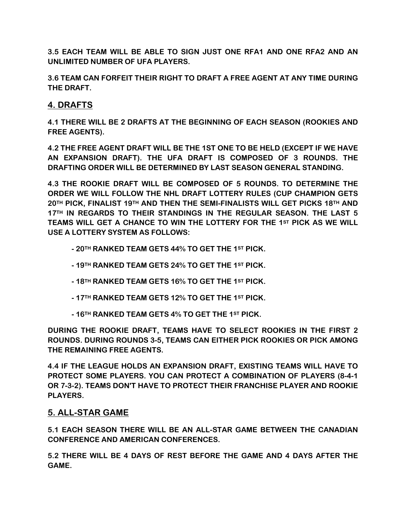**3.5 EACH TEAM WILL BE ABLE TO SIGN JUST ONE RFA1 AND ONE RFA2 AND AN UNLIMITED NUMBER OF UFA PLAYERS.** 

**3.6 TEAM CAN FORFEIT THEIR RIGHT TO DRAFT A FREE AGENT AT ANY TIME DURING THE DRAFT.** 

# **4. DRAFTS**

**4.1 THERE WILL BE 2 DRAFTS AT THE BEGINNING OF EACH SEASON (ROOKIES AND FREE AGENTS).** 

**4.2 THE FREE AGENT DRAFT WILL BE THE 1ST ONE TO BE HELD (EXCEPT IF WE HAVE AN EXPANSION DRAFT). THE UFA DRAFT IS COMPOSED OF 3 ROUNDS. THE DRAFTING ORDER WILL BE DETERMINED BY LAST SEASON GENERAL STANDING.** 

**4.3 THE ROOKIE DRAFT WILL BE COMPOSED OF 5 ROUNDS. TO DETERMINE THE ORDER WE WILL FOLLOW THE NHL DRAFT LOTTERY RULES (CUP CHAMPION GETS 20TH PICK, FINALIST 19TH AND THEN THE SEMI-FINALISTS WILL GET PICKS 18TH AND 17TH IN REGARDS TO THEIR STANDINGS IN THE REGULAR SEASON. THE LAST 5 TEAMS WILL GET A CHANCE TO WIN THE LOTTERY FOR THE 1ST PICK AS WE WILL USE A LOTTERY SYSTEM AS FOLLOWS:** 

- **20TH RANKED TEAM GETS 44% TO GET THE 1ST PICK.**
- **19TH RANKED TEAM GETS 24% TO GET THE 1ST PICK.**
- **18TH RANKED TEAM GETS 16% TO GET THE 1ST PICK.**
- **17TH RANKED TEAM GETS 12% TO GET THE 1ST PICK.**
- **16TH RANKED TEAM GETS 4% TO GET THE 1ST PICK.**

**DURING THE ROOKIE DRAFT, TEAMS HAVE TO SELECT ROOKIES IN THE FIRST 2 ROUNDS. DURING ROUNDS 3-5, TEAMS CAN EITHER PICK ROOKIES OR PICK AMONG THE REMAINING FREE AGENTS.** 

**4.4 IF THE LEAGUE HOLDS AN EXPANSION DRAFT, EXISTING TEAMS WILL HAVE TO PROTECT SOME PLAYERS. YOU CAN PROTECT A COMBINATION OF PLAYERS (8-4-1 OR 7-3-2). TEAMS DON'T HAVE TO PROTECT THEIR FRANCHISE PLAYER AND ROOKIE PLAYERS.** 

## **5. ALL-STAR GAME**

**5.1 EACH SEASON THERE WILL BE AN ALL-STAR GAME BETWEEN THE CANADIAN CONFERENCE AND AMERICAN CONFERENCES.** 

**5.2 THERE WILL BE 4 DAYS OF REST BEFORE THE GAME AND 4 DAYS AFTER THE GAME.**